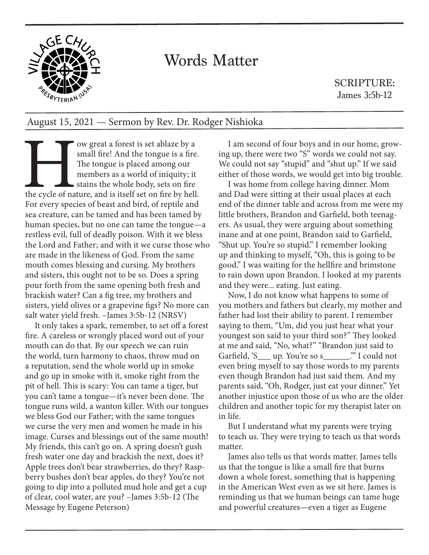

## Words Matter

SCRIPTURE: James 3:5b-12

## August 15, 2021 — Sermon by Rev. Dr. Rodger Nishioka

ow great a forest is set ablaze by a<br>small fire! And the tongue is a fire<br>The tongue is placed among our<br>members as a world of iniquity; it<br>stains the whole body, sets on fire<br>the cycle of nature, and is itself set on fire small fire! And the tongue is a fire. The tongue is placed among our members as a world of iniquity; it stains the whole body, sets on fire the cycle of nature, and is itself set on fire by hell. For every species of beast and bird, of reptile and sea creature, can be tamed and has been tamed by human species, but no one can tame the tongue—a restless evil, full of deadly poison. With it we bless the Lord and Father; and with it we curse those who are made in the likeness of God. From the same mouth comes blessing and cursing. My brothers and sisters, this ought not to be so. Does a spring pour forth from the same opening both fresh and brackish water? Can a fig tree, my brothers and sisters, yield olives or a grapevine figs? No more can salt water yield fresh. –James 3:5b-12 (NRSV)

It only takes a spark, remember, to set off a forest fire. A careless or wrongly placed word out of your mouth can do that. By our speech we can ruin the world, turn harmony to chaos, throw mud on a reputation, send the whole world up in smoke and go up in smoke with it, smoke right from the pit of hell. This is scary: You can tame a tiger, but you can't tame a tongue—it's never been done. The tongue runs wild, a wanton killer. With our tongues we bless God our Father; with the same tongues we curse the very men and women he made in his image. Curses and blessings out of the same mouth! My friends, this can't go on. A spring doesn't gush fresh water one day and brackish the next, does it? Apple trees don't bear strawberries, do they? Raspberry bushes don't bear apples, do they? You're not going to dip into a polluted mud hole and get a cup of clear, cool water, are you? –James 3:5b-12 (The Message by Eugene Peterson)

I am second of four boys and in our home, growing up, there were two "S" words we could not say. We could not say "stupid" and "shut up." If we said either of those words, we would get into big trouble.

I was home from college having dinner. Mom and Dad were sitting at their usual places at each end of the dinner table and across from me were my little brothers, Brandon and Garfield, both teenagers. As usual, they were arguing about something inane and at one point, Brandon said to Garfield, "Shut up. You're so stupid." I remember looking up and thinking to myself, "Oh, this is going to be good." I was waiting for the hellfire and brimstone to rain down upon Brandon. I looked at my parents and they were... eating. Just eating.

Now, I do not know what happens to some of you mothers and fathers but clearly, my mother and father had lost their ability to parent. I remember saying to them, "Um, did you just hear what your youngest son said to your third son?" They looked at me and said, "No, what?" "Brandon just said to Garfield, 'S<sub>\_\_\_</sub> up. You're so s\_\_\_\_\_\_." I could not even bring myself to say those words to my parents even though Brandon had just said them. And my parents said, "Oh, Rodger, just eat your dinner." Yet another injustice upon those of us who are the older children and another topic for my therapist later on in life.

But I understand what my parents were trying to teach us. They were trying to teach us that words matter.

James also tells us that words matter. James tells us that the tongue is like a small fire that burns down a whole forest, something that is happening in the American West even as we sit here. James is reminding us that we human beings can tame huge and powerful creatures—even a tiger as Eugene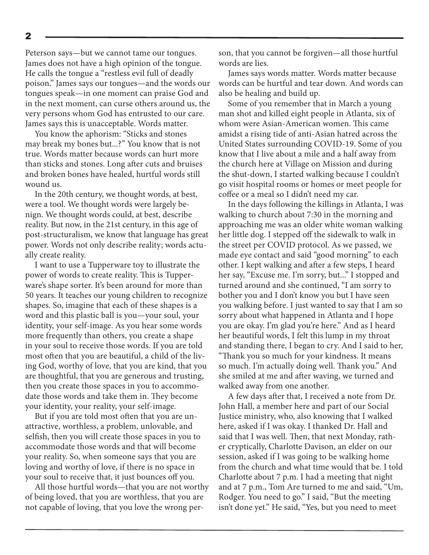Peterson says—but we cannot tame our tongues. James does not have a high opinion of the tongue. He calls the tongue a "restless evil full of deadly poison." James says our tongues—and the words our tongues speak—in one moment can praise God and in the next moment, can curse others around us, the very persons whom God has entrusted to our care. James says this is unacceptable. Words matter.

You know the aphorism: "Sticks and stones may break my bones but...?" You know that is not true. Words matter because words can hurt more than sticks and stones. Long after cuts and bruises and broken bones have healed, hurtful words still wound us.

In the 20th century, we thought words, at best, were a tool. We thought words were largely benign. We thought words could, at best, describe reality. But now, in the 21st century, in this age of post-structuralism, we know that language has great power. Words not only describe reality; words actually create reality.

I want to use a Tupperware toy to illustrate the power of words to create reality. This is Tupperware's shape sorter. It's been around for more than 50 years. It teaches our young children to recognize shapes. So, imagine that each of these shapes is a word and this plastic ball is you—your soul, your identity, your self-image. As you hear some words more frequently than others, you create a shape in your soul to receive those words. If you are told most often that you are beautiful, a child of the living God, worthy of love, that you are kind, that you are thoughtful, that you are generous and trusting, then you create those spaces in you to accommodate those words and take them in. They become your identity, your reality, your self-image.

But if you are told most often that you are unattractive, worthless, a problem, unlovable, and selfish, then you will create those spaces in you to accommodate those words and that will become your reality. So, when someone says that you are loving and worthy of love, if there is no space in your soul to receive that, it just bounces off you.

All those hurtful words—that you are not worthy of being loved, that you are worthless, that you are not capable of loving, that you love the wrong person, that you cannot be forgiven—all those hurtful words are lies.

James says words matter. Words matter because words can be hurtful and tear down. And words can also be healing and build up.

Some of you remember that in March a young man shot and killed eight people in Atlanta, six of whom were Asian-American women. This came amidst a rising tide of anti-Asian hatred across the United States surrounding COVID-19. Some of you know that I live about a mile and a half away from the church here at Village on Mission and during the shut-down, I started walking because I couldn't go visit hospital rooms or homes or meet people for coffee or a meal so I didn't need my car.

In the days following the killings in Atlanta, I was walking to church about 7:30 in the morning and approaching me was an older white woman walking her little dog. I stepped off the sidewalk to walk in the street per COVID protocol. As we passed, we made eye contact and said "good morning" to each other. I kept walking and after a few steps, I heard her say, "Excuse me. I'm sorry, but..." I stopped and turned around and she continued, "I am sorry to bother you and I don't know you but I have seen you walking before. I just wanted to say that I am so sorry about what happened in Atlanta and I hope you are okay. I'm glad you're here." And as I heard her beautiful words, I felt this lump in my throat and standing there, I began to cry. And I said to her, "Thank you so much for your kindness. It means so much. I'm actually doing well. Thank you." And she smiled at me and after waving, we turned and walked away from one another.

A few days after that, I received a note from Dr. John Hall, a member here and part of our Social Justice ministry, who, also knowing that I walked here, asked if I was okay. I thanked Dr. Hall and said that I was well. Then, that next Monday, rather cryptically, Charlotte Davison, an elder on our session, asked if I was going to be walking home from the church and what time would that be. I told Charlotte about 7 p.m. I had a meeting that night and at 7 p.m., Tom Are turned to me and said, "Um, Rodger. You need to go." I said, "But the meeting isn't done yet." He said, "Yes, but you need to meet